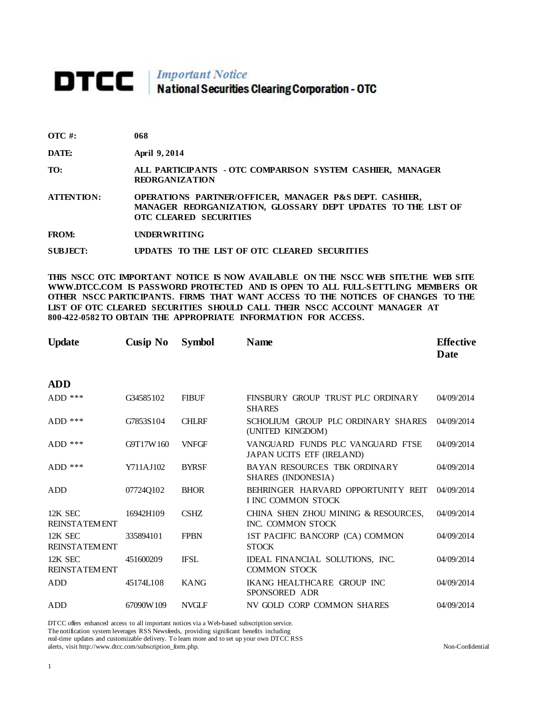## **DTCC** National Securities Clearing Corporation - OTC

| $\overline{OTC}$ #: | 068 |
|---------------------|-----|
|---------------------|-----|

**DATE: April 9, 2014** 

**TO: ALL PARTICIPANTS - OTC COMPARISON SYSTEM CASHIER, MANAGER REORGANIZATION** 

**ATTENTION: OPERATIONS PARTNER/OFFICER, MANAGER P&S DEPT. CASHIER, MANAGER REORGANIZATION, GLOSSARY DEPT UPDATES TO THE LIST OF OTC CLEARED SECURITIES** 

**FROM: UNDERWRITING**

**SUBJECT: UPDATES TO THE LIST OF OTC CLEARED SECURITIES**

**THIS NSCC OTC IMPORTANT NOTICE IS NOW AVAILABLE ON THE NSCC WEB SITE.THE WEB SITE WWW.DTCC.COM IS PASSWORD PROTECTED AND IS OPEN TO ALL FULL-S ETTLING MEMBERS OR OTHER NSCC PARTICIPANTS. FIRMS THAT WANT ACCESS TO THE NOTICES OF CHANGES TO THE LIST OF OTC CLEARED SECURITIES SHOULD CALL THEIR NSCC ACCOUNT MANAGER AT 800-422-0582 TO OBTAIN THE APPROPRIATE INFORMATION FOR ACCESS.** 

| <b>Update</b>                   | Cusip No  | <b>Symbol</b> | <b>Name</b>                                                     | <b>Effective</b><br>Date |
|---------------------------------|-----------|---------------|-----------------------------------------------------------------|--------------------------|
| <b>ADD</b>                      |           |               |                                                                 |                          |
| $ADD$ ***                       | G34585102 | <b>FIBUF</b>  | FINSBURY GROUP TRUST PLC ORDINARY<br><b>SHARES</b>              | 04/09/2014               |
| $ADD$ ***                       | G7853S104 | <b>CHLRF</b>  | SCHOLIUM GROUP PLC ORDINARY SHARES<br>(UNITED KINGDOM)          | 04/09/2014               |
| $ADD$ ***                       | G9T17W160 | <b>VNFGF</b>  | VANGUARD FUNDS PLC VANGUARD FTSE<br>JAPAN UCITS ETF (IRELAND)   | 04/09/2014               |
| $ADD$ ***                       | Y711AJ102 | <b>BYRSF</b>  | BAYAN RESOURCES TBK ORDINARY<br>SHARES (INDONESIA)              | 04/09/2014               |
| ADD                             | 07724Q102 | <b>BHOR</b>   | BEHRINGER HARVARD OPPORTUNITY REIT<br><b>I INC COMMON STOCK</b> | 04/09/2014               |
| 12K SEC<br><b>REINSTATEMENT</b> | 16942H109 | <b>CSHZ</b>   | CHINA SHEN ZHOU MINING & RESOURCES,<br>INC. COMMON STOCK        | 04/09/2014               |
| 12K SEC<br><b>REINSTATEMENT</b> | 335894101 | <b>FPBN</b>   | 1ST PACIFIC BANCORP (CA) COMMON<br><b>STOCK</b>                 | 04/09/2014               |
| 12K SEC<br><b>REINSTATEMENT</b> | 451600209 | <b>IFSL</b>   | IDEAL FINANCIAL SOLUTIONS, INC.<br><b>COMMON STOCK</b>          | 04/09/2014               |
| ADD                             | 45174L108 | <b>KANG</b>   | <b>IKANG HEALTHCARE GROUP INC</b><br>SPONSORED ADR              | 04/09/2014               |
| ADD                             | 67090W109 | <b>NVGLF</b>  | NV GOLD CORP COMMON SHARES                                      | 04/09/2014               |

DTCC offers enhanced access to all important notices via a Web-based subscription service.

The notification system leverages RSS Newsfeeds, providing significant benefits including

real-time updates and customizable delivery. To learn more and to set up your own DTCC RSS alerts, visit http://www.dtcc.com/subscription\_form.php. Non-Confidential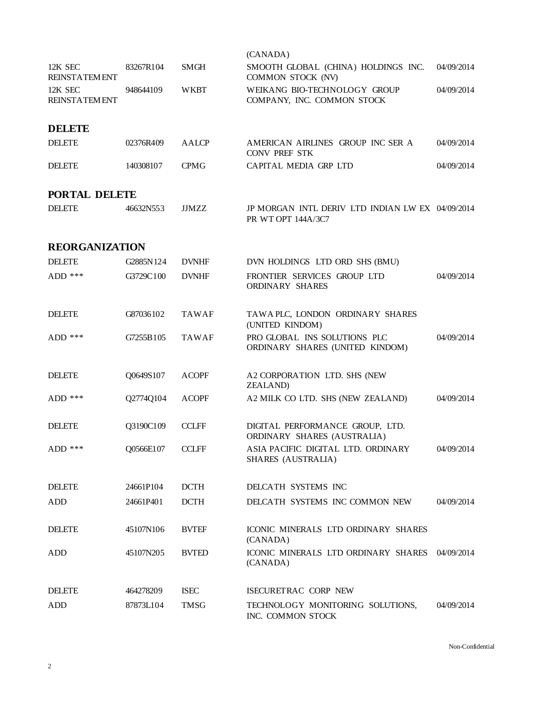|                                 |           |              | (CANADA)                                                               |            |
|---------------------------------|-----------|--------------|------------------------------------------------------------------------|------------|
| 12K SEC<br><b>REINSTATEMENT</b> | 83267R104 | <b>SMGH</b>  | SMOOTH GLOBAL (CHINA) HOLDINGS INC.<br>COMMON STOCK (NV)               | 04/09/2014 |
| 12K SEC<br><b>REINSTATEMENT</b> | 948644109 | <b>WKBT</b>  | WEIKANG BIO-TECHNOLOGY GROUP<br>COMPANY, INC. COMMON STOCK             | 04/09/2014 |
| <b>DELETE</b>                   |           |              |                                                                        |            |
| <b>DELETE</b>                   | 02376R409 | <b>AALCP</b> | AMERICAN AIRLINES GROUP INC SER A<br><b>CONV PREF STK</b>              | 04/09/2014 |
| <b>DELETE</b>                   | 140308107 | <b>CPMG</b>  | CAPITAL MEDIA GRP LTD                                                  | 04/09/2014 |
| PORTAL DELETE                   |           |              |                                                                        |            |
| <b>DELETE</b>                   | 46632N553 | <b>JJMZZ</b> | JP MORGAN INTL DERIV LTD INDIAN LW EX 04/09/2014<br>PR WT OPT 144A/3C7 |            |
| <b>REORGANIZATION</b>           |           |              |                                                                        |            |
| <b>DELETE</b>                   | G2885N124 | <b>DVNHF</b> | DVN HOLDINGS LTD ORD SHS (BMU)                                         |            |
| ADD ***                         | G3729C100 | <b>DVNHF</b> | FRONTIER SERVICES GROUP LTD<br>ORDINARY SHARES                         | 04/09/2014 |
| <b>DELETE</b>                   | G87036102 | <b>TAWAF</b> | TAWA PLC, LONDON ORDINARY SHARES<br>(UNITED KINDOM)                    |            |
| $ADD$ ***                       | G7255B105 | <b>TAWAF</b> | PRO GLOBAL INS SOLUTIONS PLC<br>ORDINARY SHARES (UNITED KINDOM)        | 04/09/2014 |
| <b>DELETE</b>                   | Q0649S107 | <b>ACOPF</b> | A2 CORPORATION LTD. SHS (NEW<br><b>ZEALAND</b> )                       |            |
| $ADD$ ***                       | Q2774Q104 | <b>ACOPF</b> | A2 MILK CO LTD. SHS (NEW ZEALAND)                                      | 04/09/2014 |
| <b>DELETE</b>                   | Q3190C109 | <b>CCLFF</b> | DIGITAL PERFORMANCE GROUP, LTD.<br>ORDINARY SHARES (AUSTRALIA)         |            |
| $ADD$ ***                       | Q0566E107 | <b>CCLFF</b> | ASIA PACIFIC DIGITAL LTD. ORDINARY<br>SHARES (AUSTRALIA)               | 04/09/2014 |
| <b>DELETE</b>                   | 24661P104 | <b>DCTH</b>  | DELCATH SYSTEMS INC                                                    |            |
| ADD                             | 24661P401 | <b>DCTH</b>  | DELCATH SYSTEMS INC COMMON NEW                                         | 04/09/2014 |
| <b>DELETE</b>                   | 45107N106 | <b>BVTEF</b> | ICONIC MINERALS LTD ORDINARY SHARES<br>(CANADA)                        |            |
| ADD                             | 45107N205 | <b>BVTED</b> | ICONIC MINERALS LTD ORDINARY SHARES<br>(CANADA)                        | 04/09/2014 |
| <b>DELETE</b>                   | 464278209 | <b>ISEC</b>  | ISECURETRAC CORP NEW                                                   |            |
| <b>ADD</b>                      | 87873L104 | <b>TMSG</b>  | TECHNOLOGY MONITORING SOLUTIONS,<br>INC. COMMON STOCK                  | 04/09/2014 |